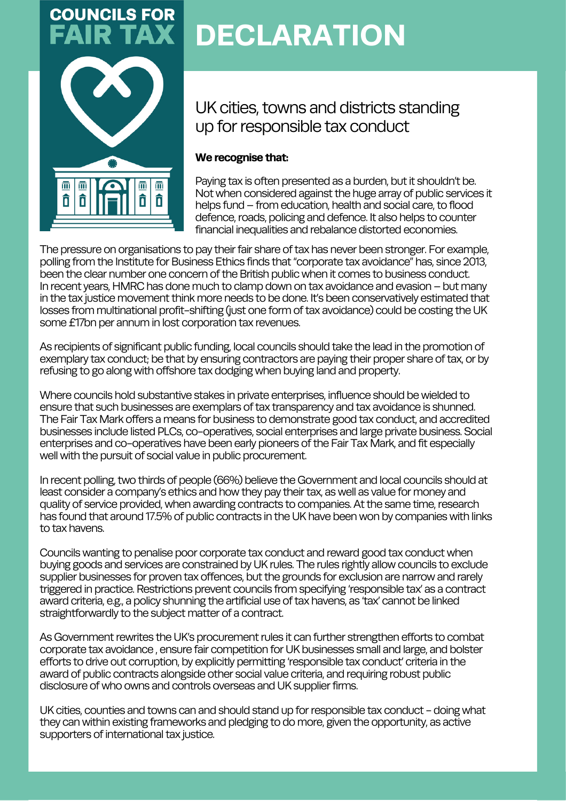

# **DECLARATION**

UK cities, towns and districts standing up for responsible tax conduct

### **We recognise that:**

Paying tax is often presented as a burden, but it shouldn't be. Not when considered against the huge array of public services it helps fund – from education, health and social care, to flood defence, roads, policing and defence. It also helps to counter financial inequalities and rebalance distorted economies.

The pressure on organisations to pay their fair share of tax has never been stronger. For example, polling from the Institute for Business Ethics finds that "corporate tax avoidance" has, since 2013, been the clear number one concern of the British public when it comes to business conduct. In recent years, HMRC has done much to clamp down on tax avoidance and evasion–but many in the tax justice movement think more needs to be done. It's been conservatively estimated that losses from multinational profit-shifting (just one form of tax avoidance) could be costing the UK some£17bn per annum in lost corporation tax revenues.

As recipients of significant public funding, local councils should take the lead in the promotion of exemplary tax conduct; be that by ensuring contractors are paying their proper share of tax, or by refusing to go along with offshore tax dodging when buying land and property.

Where councils hold substantive stakes in private enterprises, influence should be wielded to ensure that such businesses are exemplars of tax transparency and tax avoidance is shunned. The FairTax Mark offers a means for business to demonstrate good tax conduct, and accredited businesses include listed PLCs, co-operatives, social enterprises and large private business.Social enterprises and co-operatives have been early pioneers of the Fair Tax Mark, and fit especially well with the pursuit of social value in public procurement.

In recent polling, two thirds of people (66%) believe the Government and local councils should at least consider a company's ethics and how they pay their tax, as well as value for money and quality of service provided, when awarding contracts to companies. At the same time, research has found that around 17.5% of public contracts in the UK have been won by companies with links to tax havens.

Councils wanting to penalise poor corporate tax conduct and reward good tax conduct when buying goods and services are constrained by UK rules.The rules rightly allow councils to exclude supplier businesses for proven tax offences, but the grounds for exclusion are narrow and rarely triggered in practice. Restrictions prevent councils from specifying 'responsible tax' as a contract award criteria, e.g., a policy shunning the artificial use of tax havens, as 'tax' cannot be linked straightforwardly to the subject matter of a contract.

As Government rewrites the UK's procurement rules it can further strengthen efforts to combat corporate tax avoidance , ensure fair competition for UK businesses small and large, and bolster efforts to drive out corruption, by explicitly permitting 'responsible tax conduct' criteria in the award of public contracts alongside other social value criteria, and requiring robust public disclosure of who owns and controls overseas and UK supplier firms.

UK cities, counties and towns can and should stand up for responsible tax conduct - doing what they can within existing frameworks and pledging to do more, given the opportunity, as active supporters of international tax justice.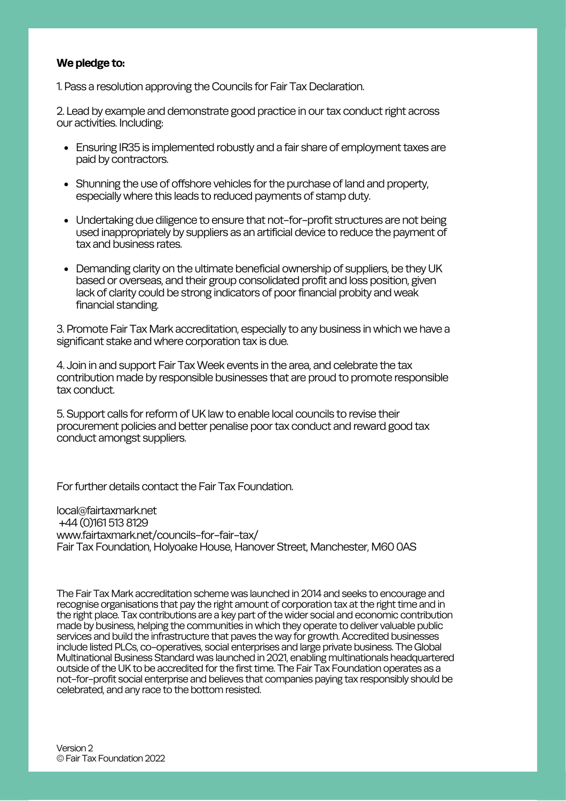#### **We pledge to:**

1. Pass a resolution approving the Councils for Fair Tax Declaration.

2. Lead by example and demonstrate good practice in our tax conduct right across our activities. Including:

- Ensuring IR35 is implemented robustly and a fair share of employment taxes are paid by contractors.
- Shunning the use of offshore vehicles for the purchase of land and property, especially where this leads to reduced payments of stamp duty.
- Undertaking due diligence to ensure that not-for-profit structures are not being used inappropriately by suppliers as an artificial device to reduce the payment of tax and business rates.
- Demanding clarity on the ultimate beneficial ownership of suppliers, be they UK based or overseas, and their group consolidated profit and loss position, given lack of clarity could be strong indicators of poor financial probity and weak financial standing.

3. Promote FairTax Mark accreditation, especially to any business in which we have a significant stake and where corporation tax is due.

4. Join in and support FairTaxWeek events in the area, and celebrate the tax contribution made by responsible businesses that are proud to promote responsible tax conduct.

5.Support calls forreform of UK law to enable local councils to revise their procurement policies and better penalise poortax conduct and reward good tax conduct amongst suppliers.

For further details contact the Fair Tax Foundation.

local@fairtaxmark.net +44 (0)161 513 8129 www.fairtaxmark.net/councils-for-fair-tax/ Fair Tax Foundation, Holyoake House, Hanover Street, Manchester, M60 OAS

The Fair Tax Mark accreditation scheme was launched in 2014 and seeks to encourage and recognise organisations that pay the right amount of corporation tax at the right time and in the right place. Tax contributions are a key part of the wider social and economic contribution made by business, helping the communities in which they operate to deliver valuable public services and build the infrastructure that paves the way for growth. Accredited businesses include listed PLCs, co-operatives, social enterprises and large private business.The Global Multinational Business Standard was launched in 2021, enabling multinationals headquartered outside of the UK to be accredited for the first time. The Fair Tax Foundation operates as a not-for-profit social enterprise and believes that companies paying tax responsibly should be celebrated, and any race to the bottom resisted.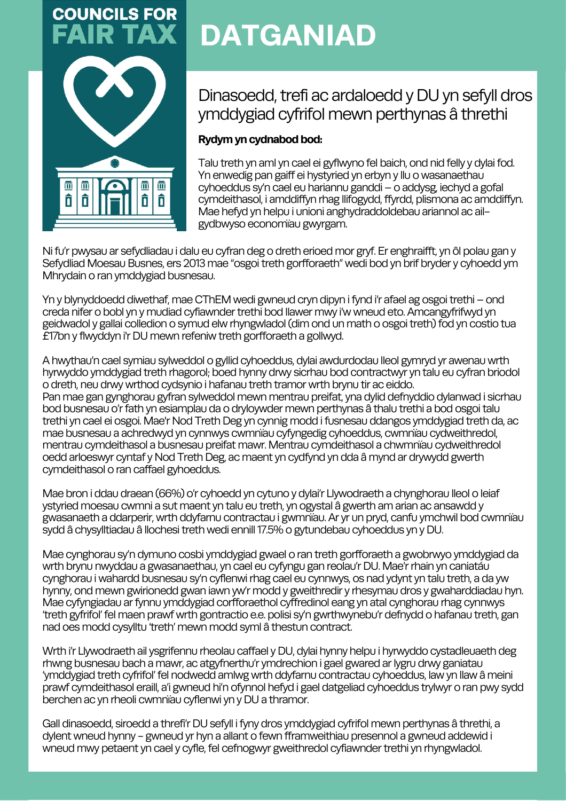

# **DATGANIAD**

## Dinasoedd, trefi ac ardaloedd y DU yn sefyll dros ymddygiad cyfrifol mewn perthynas â threthi

### **Rydym** yn cydnabod bod:

Talu treth yn aml yn cael ei gyflwyno fel baich, ond nid felly y dylai fod. Yn enwedig pan gaiff ei hystyried yn erbyn y llu o wasanaethau cyhoeddus sy'n cael eu hariannu ganddi–o addysg, iechyd a gofal cymdeithasol, i amddiffyn rhag llifogydd, ffyrdd, plismona ac amddiffyn. Mae hefyd yn helpu i unioni anghydraddoldebau ariannol ac ailgydbwyso economïau gwyrgam.

Nifu'r pwysau ar sefydliadau i dalu eu cyfran deg o dreth erioed mor gryf. Er enghraifft, yn ôl polau gan y Sefydliad Moesau Busnes, ers 2013 mae "osgoi treth gorfforaeth" wedi bod yn brif bryder y cyhoedd ym Mhrydain o ran ymddygiad busnesau.

Yn y blynyddoedd diwethaf, mae CThEM wedi gwneud cryn dipyn i fynd i'r afael ag osgoi trethi – ond creda nifer o bobl yn y mudiad cyfiawnder trethi bod llawer mwy i'w wneud eto. Amcangyfrifwyd yn geidwadol y gallai colledion o symud elw rhyngwladol (dim ond un math o osgoi treth) fod yn costio tua £17bn y flwyddyn i'r DU mewn refeniw treth gorfforaeth a gollwyd.

Ahwythau'n cael symiau sylweddol o gyllid cyhoeddus, dylai awdurdodau lleol gymryd yr awenau wrth hyrwyddo ymddygiad treth rhagorol; boed hynny drwy sicrhau bod contractwyr yn talu eu cyfran briodol o dreth, neu drwy wrthod cydsynio i hafanau treth tramor wrth brynu tir ac eiddo. Pan mae gan gynghorau gyfran sylweddol mewn mentrau preifat, yna dylid defnyddio dylanwad i sicrhau bod busnesau o'r fath yn esiamplau da o dryloywder mewn perthynas â thalu trethi a bod osgoi talu trethi yn cael ei osgoi. Mae'r Nod Treth Deg yn cynnig modd i fusnesau ddangos ymddygiad treth da, ac mae busnesau a achredwyd yn cynnwys cwmnïau cyfyngedig cyhoeddus, cwmnïau cydweithredol, mentrau cymdeithasol a busnesau preifat mawr. Mentrau cymdeithasol a chwmnïau cydweithredol oedd arloeswyr cyntaf y Nod Treth Deg, ac maent yn cydfynd yn dda â mynd ar drywydd gwerth cymdeithasol o ran caffael gyhoeddus.

Mae bron i ddau draean (66%) o'r cyhoedd yn cytuno y dylai'r Llywodraeth a chynghorau lleol o leiaf ystyried moesau cwmni a sut maent yn talu eu treth, yn ogystal â gwerth am arian ac ansawdd y gwasanaeth a ddarperir, wrth ddyfarnu contractau i gwmnïau.Ar yr un pryd, canfu ymchwil bod cwmnïau sydd â chysylltiadau â llochesi treth wedi ennill 17.5% o gytundebau cyhoeddus yn y DU.

Mae cynghorau sy'n dymuno cosbi ymddygiad gwael o ran treth gorfforaeth a gwobrwyo ymddygiad da wrth brynu nwyddau a gwasanaethau, yn cael eu cyfyngu gan reolau'r DU. Mae'r rhain yn caniatáu cynghorau i wahardd busnesau sy'n cyflenwirhag cael eu cynnwys, os nad ydynt yn talu treth, a da yw hynny, ond mewn gwirionedd gwan iawn yw'r modd y gweithredir y rhesymau dros y gwaharddiadau hyn. Mae cyfyngiadau arfynnu ymddygiad corfforaethol cyffredinol eang yn atal cynghorau rhag cynnwys 'treth gyfrifol'fel maen prawf wrth gontractio e.e. polisi sy'n gwrthwynebu'r defnydd o hafanau treth, gan nad oes modd cysylltu 'treth' mewn modd syml â thestun contract.

Wrth i'r Llywodraeth ail ysgrifennu rheolau caffael y DU, dylai hynny helpu i hyrwyddo cystadleuaeth deg rhwng busnesau bach a mawr, ac atgyfnerthu'r ymdrechion i gael gwared ar lygru drwy ganiatau 'ymddygiad treth cyfrifol' fel nodwedd amlwg wrth ddyfarnu contractau cyhoeddus, law yn llaw â meini prawf cymdeithasol eraill, a'i gwneud hi'n ofynnol hefyd i gael datgeliad cyhoeddus trylwyr o ran pwy sydd berchen ac yn rheoli cwmnïau cyflenwi yn y DU a thramor.

Gall dinasoedd, siroedd a threfi'r DU sefyll i fyny dros ymddygiad cyfrifol mewn perthynas â threthi, a dylent wneud hynny - gwneud yr hyn a allant o fewn fframweithiau presennol a gwneud addewid i wneud mwy petaent yn cael y cyfle, fel cefnogwyr gweithredol cyfiawnder trethi yn rhyngwladol.